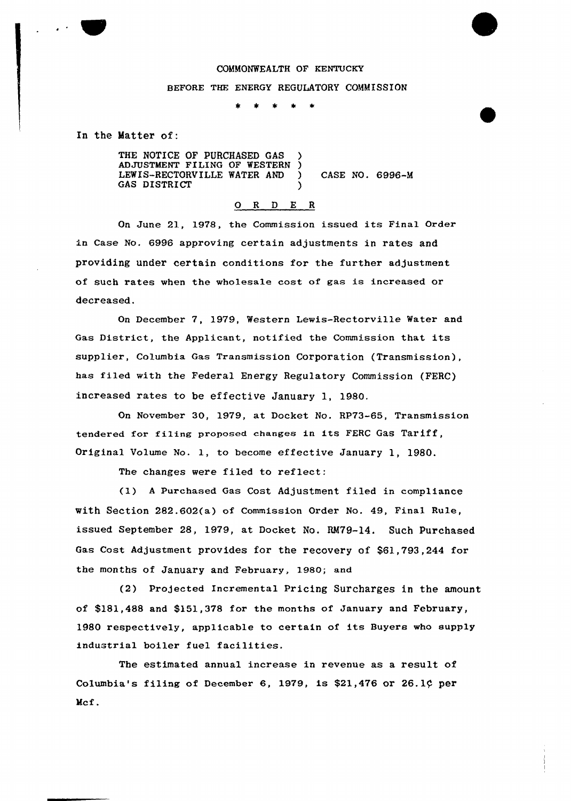### COMMONWEALTH OF KENTUCKY

#### BEFORE THE ENERGY REGULATORY COMMISSION

 $\star$ 

In the Matter of:

THE NOTICE OF PURCHASED GAS ADJUSTMENT FILING OF WESTERN ) LEWIS-RECTQRVILLE WATER AND ) CASE NO. 6996-M GAS DISTRICT

## 0 <sup>R</sup> <sup>D</sup> E <sup>R</sup>

On June 21, 1978, the Commission issued its Final Order in Case No. 6996 approving certain adjustments in rates and providing under certain conditions for the further adjustment of such rates when the wholesale cost of gas is increased or decreased.

On December 7, 1979, Western Lewis-Rectorville Water and Gas District, the Applicant, notified the Commission that its supplier, Columbia Gas Transmission Corporation (Transmission), has filed with the Federal Energy Regulatory Commission (FERC} increased rates to be effective January 1, 1980.

On November 30, 1979, at Docket No. RP73-65, Transmission tendered for filing proposed changes in its FERC Gas Tariff, Original Volume No. 1, to become effective January 1, 1980.

The changes were filed to reflect:

(1) <sup>A</sup> Purchased Gas Cost Adjustment filed in compliance with Section 282.602(a) of Commission Order No. 49, Final Rule, issued September 28, 1979, at Docket No. RM79-14. Such Purchased Gas Cost Adjustment provides for the recovery of \$61,793,244 for the months of January and February, 1980; and

(2) Projected Incremental Pricing Surcharges in the amount of \$181,488 and \$151,378 for the months of January and February, 1980 respectively, applicable to certain of its Buyers who supply industrial boiler fuel facilities.

The estimated annual increase in revenue as a result of Columbia's filing of December 6, 1979, is \$21,476 or 26.1¢ per Mcf.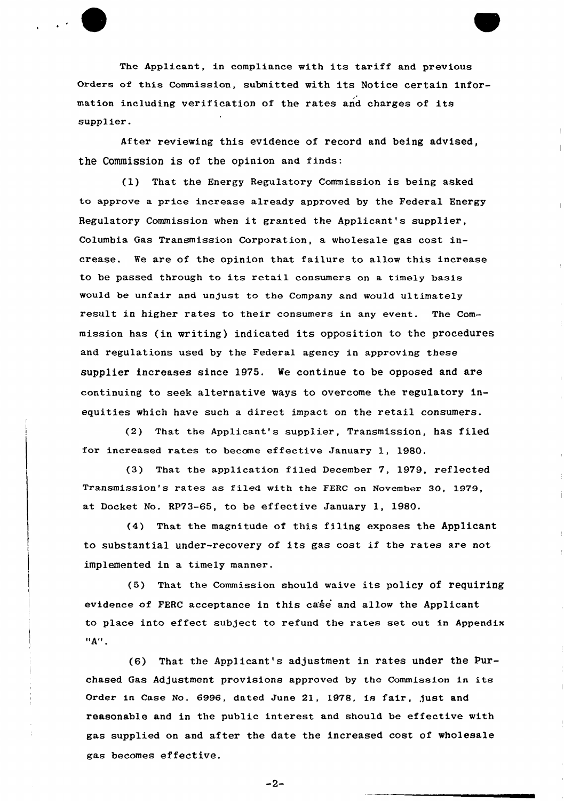The Applicant, in compliance with its tariff and previous orders of this Commission, submitted with its Notice certain information including verification of the rates and charges of its supplier.

After reviewing this evidence of record and being advised, the Commission is of the opinion and finds:

(1) That the Energy Regulatory Commission is being asked to approve a price increase already approved by the Federal Energy Regulatory Commission when it granted the Applicant's supplier, Columbia Gas Txansmission Corpoxation, a wholesale gas cost increase. We are of the opinion that failure to allow this increase to be passed through to its retail consumers on a timely basis would be unfair and unjust to the Company and would ultimately result in higher rates to their consumers in any event. The Commission has (in writing) indicated its opposition to the procedures and regulations used by the Federal agency in approving these supplier increases since 1975. We continue to be opposed and are continuing to seek alternative ways to overcome the regulatory inequities which have such a direct impact on the retail consumers.

(2) That the Applicant's supplier, Transmission, has filed for increased rates to become effective January 1, 1980.

(3) That the application filed December 7, 1979, reflected Transmission's rates as filed with the FERC on November 30, 1979, at Docket No. RP73-65, to be effective January 1, 1980.

(4) That the magnitude of this filing exposes the Applicant to substantial under-recovery of its gas cost if the rates are not implemented in a timely manner.

(5) That the Commission should waive its policy of requiring evidence of FERC acceptance in this case and allow the Applicant to place into effect subject to refund the rates set out in Appendix  $"A"$ .

{6) That the Applicant's adjustment in rates under the Purchased Gas Adjustment provisions approved by the Commission in its Order in Case No. 6996, dated June 21, 1978, is fair, just and reasonable and in the public interest and should be effective with gas supplied on and after the date the increased cost of wholesale gas becomes effective.

 $-2-$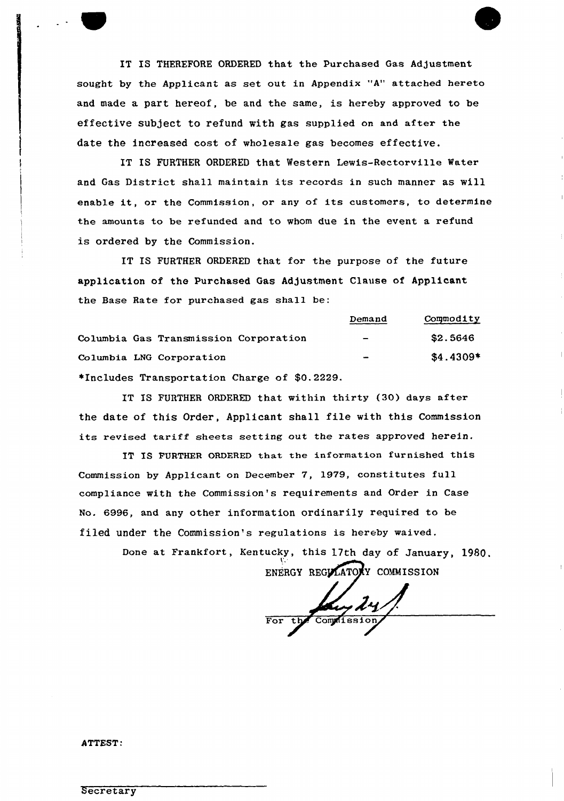IT IS THEREFORE ORDERED that the Purchased Gas Adjustment sought by the Applicant as set out in Appendix "A" attached hereto and made a part hereof, be and the same, is hereby approved to be effective subject to refund with gas supplied on and after the date the increased cost of wholesale gas becomes effective.

IT IS FURTHER ORDERED that Western Lewis-Rectorville Water and Gas District shall maintain its records in such manner as will enable it, or the Commission, or any of its customers, to determine the amounts to be refunded and to whom due in the event a refund is ordered by the Commission.

IT IS FURTHER ORDERED that for the purpose of the future application of the Purchased Gas Adjustment Clause of Applicant the Base Rate for purchased gas shall be:

|                                              | Demand | Commodity  |
|----------------------------------------------|--------|------------|
| Columbia Gas Transmission Corporation        | $\sim$ | \$2.5646   |
| Columbia LNG Corporation                     |        | $$4.4309*$ |
| *Includes Transportation Charge of \$0.2229. |        |            |

IT IS FURTHER ORDERED that within thirty (30) days after the date of this Order, Applicant shall file with this Commission its revised tariff sheets setting out the rates approved herein.

IT IS FURTHER ORDERED that the information furnished this Commission by Applicant on December 7, 1979, constitutes full compliance with the Commission's requirements and Order in Case No. 6996, and any other information ordinarily required to be filed under the Commission's regulations is hereby waived.

> Done at Frankfort, Kentucky, this 17th day of January, 1980, ENERGY REGULATONY COMMISSION

For the Complission,

ATTEST: